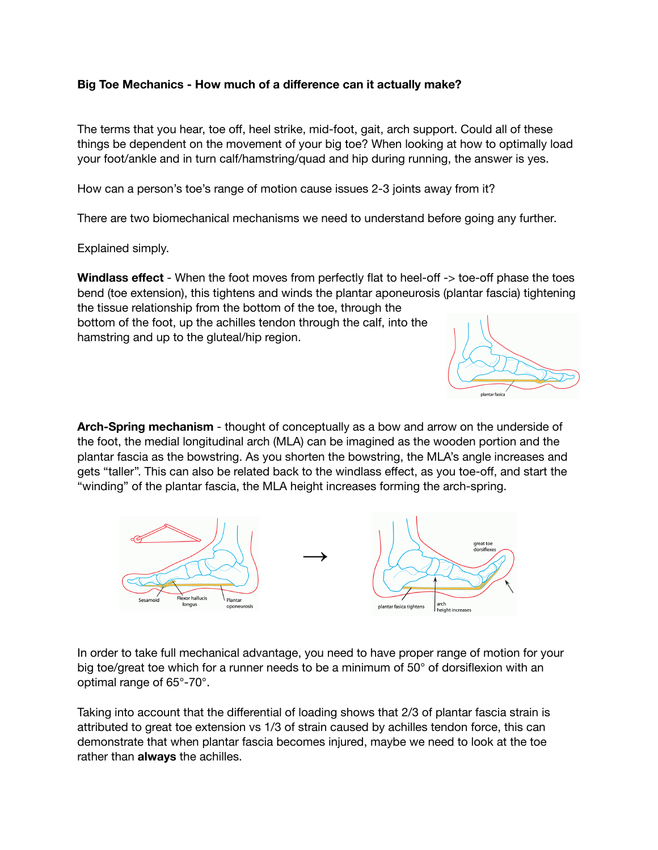## **Big Toe Mechanics - How much of a difference can it actually make?**

The terms that you hear, toe off, heel strike, mid-foot, gait, arch support. Could all of these things be dependent on the movement of your big toe? When looking at how to optimally load your foot/ankle and in turn calf/hamstring/quad and hip during running, the answer is yes.

How can a person's toe's range of motion cause issues 2-3 joints away from it?

There are two biomechanical mechanisms we need to understand before going any further.

Explained simply.

**Windlass effect** - When the foot moves from perfectly flat to heel-off -> toe-off phase the toes bend (toe extension), this tightens and winds the plantar aponeurosis (plantar fascia) tightening the tissue relationship from the bottom of the toe, through the

bottom of the foot, up the achilles tendon through the calf, into the hamstring and up to the gluteal/hip region.



**Arch-Spring mechanism** - thought of conceptually as a bow and arrow on the underside of the foot, the medial longitudinal arch (MLA) can be imagined as the wooden portion and the plantar fascia as the bowstring. As you shorten the bowstring, the MLA's angle increases and gets "taller". This can also be related back to the windlass effect, as you toe-off, and start the "winding" of the plantar fascia, the MLA height increases forming the arch-spring.



In order to take full mechanical advantage, you need to have proper range of motion for your big toe/great toe which for a runner needs to be a minimum of 50° of dorsiflexion with an optimal range of 65°-70°.

Taking into account that the differential of loading shows that 2/3 of plantar fascia strain is attributed to great toe extension vs 1/3 of strain caused by achilles tendon force, this can demonstrate that when plantar fascia becomes injured, maybe we need to look at the toe rather than **always** the achilles.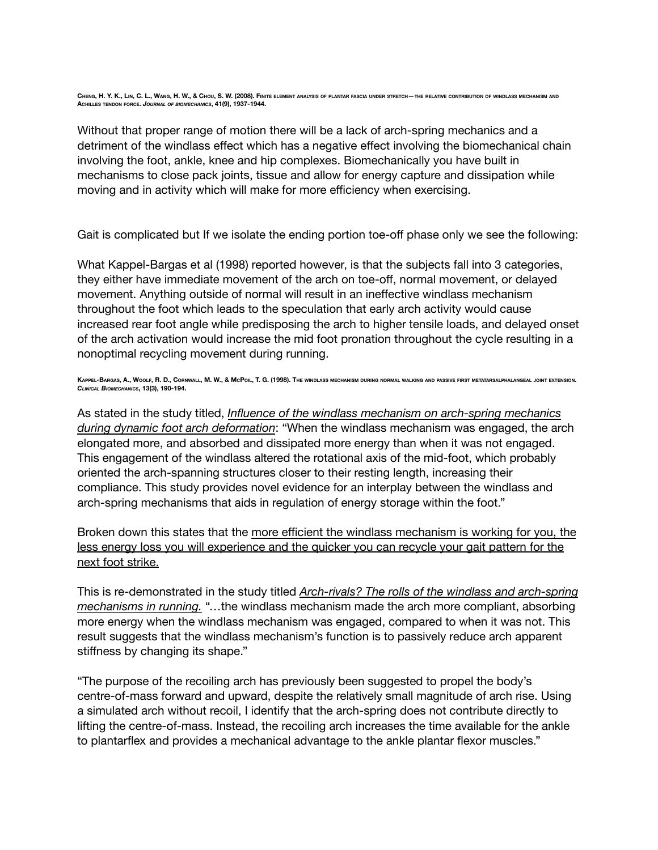Without that proper range of motion there will be a lack of arch-spring mechanics and a detriment of the windlass effect which has a negative effect involving the biomechanical chain involving the foot, ankle, knee and hip complexes. Biomechanically you have built in mechanisms to close pack joints, tissue and allow for energy capture and dissipation while moving and in activity which will make for more efficiency when exercising.

Gait is complicated but If we isolate the ending portion toe-off phase only we see the following:

What Kappel-Bargas et al (1998) reported however, is that the subjects fall into 3 categories, they either have immediate movement of the arch on toe-off, normal movement, or delayed movement. Anything outside of normal will result in an ineffective windlass mechanism throughout the foot which leads to the speculation that early arch activity would cause increased rear foot angle while predisposing the arch to higher tensile loads, and delayed onset of the arch activation would increase the mid foot pronation throughout the cycle resulting in a nonoptimal recycling movement during running.

KAPPEL-BARGAS, A., WOOLF, R. D., CORNWALL, M. W., & McPoil, T. G. (1998). The windlass mechanism during normal walking and passive first metatarsalphalangeal joint extension. *CLINICAL BIOMECHANICS***, 13(3), 190-194.**

As stated in the study titled, *Influence of the windlass mechanism on arch-spring mechanics during dynamic foot arch deformation*: "When the windlass mechanism was engaged, the arch elongated more, and absorbed and dissipated more energy than when it was not engaged. This engagement of the windlass altered the rotational axis of the mid-foot, which probably oriented the arch-spanning structures closer to their resting length, increasing their compliance. This study provides novel evidence for an interplay between the windlass and arch-spring mechanisms that aids in regulation of energy storage within the foot."

Broken down this states that the more efficient the windlass mechanism is working for you, the less energy loss you will experience and the quicker you can recycle your gait pattern for the next foot strike.

This is re-demonstrated in the study titled *Arch-rivals? The rolls of the windlass and arch-spring mechanisms in running.* "…the windlass mechanism made the arch more compliant, absorbing more energy when the windlass mechanism was engaged, compared to when it was not. This result suggests that the windlass mechanism's function is to passively reduce arch apparent stiffness by changing its shape."

"The purpose of the recoiling arch has previously been suggested to propel the body's centre-of-mass forward and upward, despite the relatively small magnitude of arch rise. Using a simulated arch without recoil, I identify that the arch-spring does not contribute directly to lifting the centre-of-mass. Instead, the recoiling arch increases the time available for the ankle to plantarflex and provides a mechanical advantage to the ankle plantar flexor muscles."